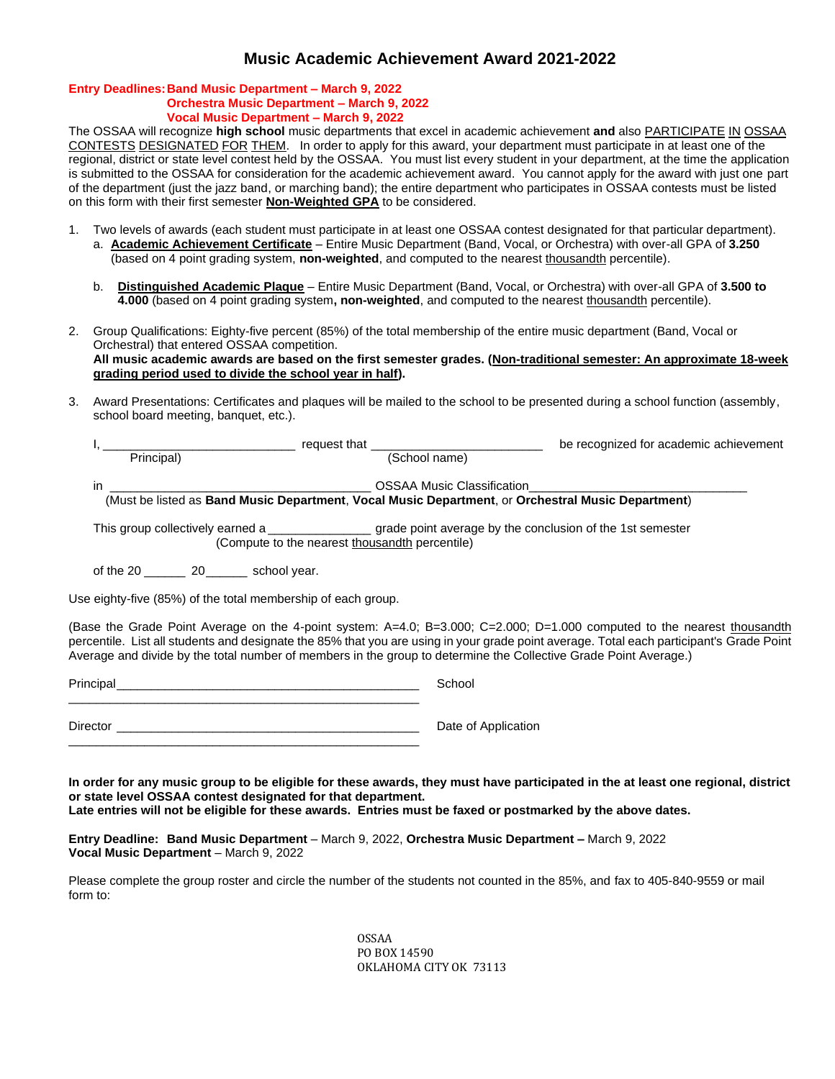# **Music Academic Achievement Award 2021-2022**

#### **Entry Deadlines:Band Music Department – March 9, 2022 Orchestra Music Department – March 9, 2022 Vocal Music Department – March 9, 2022**

The OSSAA will recognize **high school** music departments that excel in academic achievement **and** also PARTICIPATE IN OSSAA CONTESTS DESIGNATED FOR THEM. In order to apply for this award, your department must participate in at least one of the regional, district or state level contest held by the OSSAA. You must list every student in your department, at the time the application is submitted to the OSSAA for consideration for the academic achievement award. You cannot apply for the award with just one part of the department (just the jazz band, or marching band); the entire department who participates in OSSAA contests must be listed on this form with their first semester **Non-Weighted GPA** to be considered.

- 1. Two levels of awards (each student must participate in at least one OSSAA contest designated for that particular department). a. **Academic Achievement Certificate** – Entire Music Department (Band, Vocal, or Orchestra) with over-all GPA of **3.250** (based on 4 point grading system, **non-weighted**, and computed to the nearest thousandth percentile).
	- b. **Distinguished Academic Plaque** Entire Music Department (Band, Vocal, or Orchestra) with over-all GPA of **3.500 to 4.000** (based on 4 point grading system**, non-weighted**, and computed to the nearest thousandth percentile).
- 2. Group Qualifications: Eighty-five percent (85%) of the total membership of the entire music department (Band, Vocal or Orchestral) that entered OSSAA competition. **All music academic awards are based on the first semester grades. (Non-traditional semester: An approximate 18-week grading period used to divide the school year in half).**
- 3. Award Presentations: Certificates and plaques will be mailed to the school to be presented during a school function (assembly, school board meeting, banquet, etc.).

| request that the control of the control of the control of the control of the control of the control of the control of the control of the control of the control of the control of the control of the control of the control of |                                   | be recognized for academic achievement |  |  |  |
|--------------------------------------------------------------------------------------------------------------------------------------------------------------------------------------------------------------------------------|-----------------------------------|----------------------------------------|--|--|--|
| Principal)                                                                                                                                                                                                                     | (School name)                     |                                        |  |  |  |
| ın                                                                                                                                                                                                                             | <b>OSSAA Music Classification</b> |                                        |  |  |  |
| (Must be listed as Band Music Department, Vocal Music Department, or Orchestral Music Department)                                                                                                                              |                                   |                                        |  |  |  |
|                                                                                                                                                                                                                                |                                   |                                        |  |  |  |
| (Compute to the nearest thousandth percentile)                                                                                                                                                                                 |                                   |                                        |  |  |  |
| of the 20 20 school year.                                                                                                                                                                                                      |                                   |                                        |  |  |  |

Use eighty-five (85%) of the total membership of each group.

(Base the Grade Point Average on the 4-point system: A=4.0; B=3.000; C=2.000; D=1.000 computed to the nearest thousandth percentile. List all students and designate the 85% that you are using in your grade point average. Total each participant's Grade Point Average and divide by the total number of members in the group to determine the Collective Grade Point Average.)

Principal\_\_\_\_\_\_\_\_\_\_\_\_\_\_\_\_\_\_\_\_\_\_\_\_\_\_\_\_\_\_\_\_\_\_\_\_\_\_\_\_\_\_\_\_ School \_\_\_\_\_\_\_\_\_\_\_\_\_\_\_\_\_\_\_\_\_\_\_\_\_\_\_\_\_\_\_\_\_\_\_\_\_\_\_\_\_\_\_\_\_\_\_\_\_\_\_ Director **Director Director D** Date of Application \_\_\_\_\_\_\_\_\_\_\_\_\_\_\_\_\_\_\_\_\_\_\_\_\_\_\_\_\_\_\_\_\_\_\_\_\_\_\_\_\_\_\_\_\_\_\_\_\_\_\_

**In order for any music group to be eligible for these awards, they must have participated in the at least one regional, district or state level OSSAA contest designated for that department. Late entries will not be eligible for these awards. Entries must be faxed or postmarked by the above dates.**

**Entry Deadline: Band Music Department** – March 9, 2022, **Orchestra Music Department –** March 9, 2022 **Vocal Music Department** – March 9, 2022

Please complete the group roster and circle the number of the students not counted in the 85%, and fax to 405-840-9559 or mail form to:

> OSSAA PO BOX 14590 OKLAHOMA CITY OK 73113